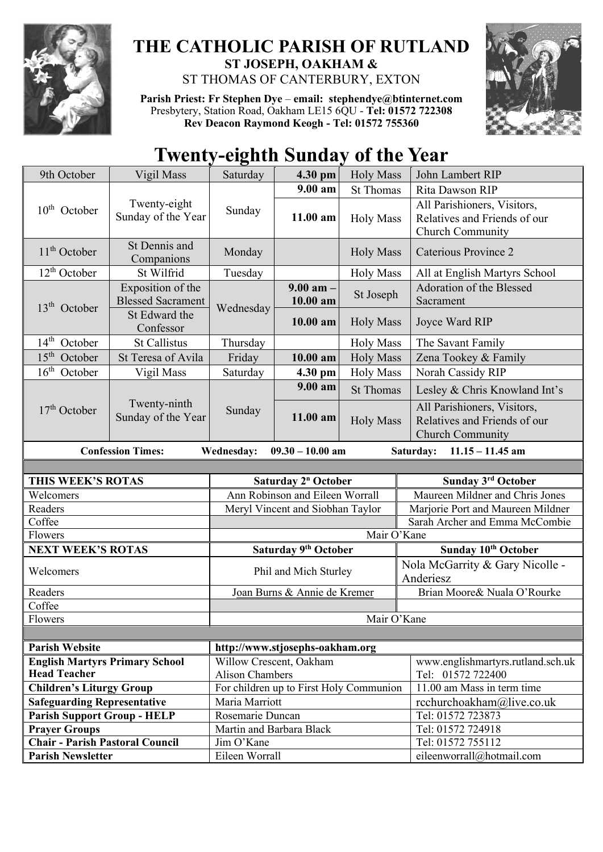

## **THE CATHOLIC PARISH OF RUTLAND ST JOSEPH, OAKHAM &**  ST THOMAS OF CANTERBURY, EXTON

**Parish Priest: Fr Stephen Dye** – **[email: stephendye@btinternet.com](mailto:email:%20%20stephendye@btinternet.com)** Presbytery, Station Road, Oakham LE15 6QU - **Tel: 01572 722308 Rev Deacon Raymond Keogh - Tel: 01572 755360**



## **Twenty-eighth Sunday of the Year**

| 9th October                                                                                            | Vigil Mass                                    | Saturday                 | 4.30 pm                                 | <b>Holy Mass</b> | John Lambert RIP                                                                       |  |
|--------------------------------------------------------------------------------------------------------|-----------------------------------------------|--------------------------|-----------------------------------------|------------------|----------------------------------------------------------------------------------------|--|
|                                                                                                        |                                               |                          | $9.00 a$ m                              | <b>St Thomas</b> | Rita Dawson RIP                                                                        |  |
| $10th$ October                                                                                         | Twenty-eight<br>Sunday of the Year            | Sunday                   | 11.00 am                                | <b>Holy Mass</b> | All Parishioners, Visitors,<br>Relatives and Friends of our<br>Church Community        |  |
| $11th$ October                                                                                         | St Dennis and<br>Companions                   | Monday                   |                                         | <b>Holy Mass</b> | <b>Caterious Province 2</b>                                                            |  |
| $12th$ October                                                                                         | St Wilfrid                                    | Tuesday                  |                                         | <b>Holy Mass</b> | All at English Martyrs School                                                          |  |
| 13 <sup>th</sup> October                                                                               | Exposition of the<br><b>Blessed Sacrament</b> | Wednesday                | $9.00$ am $-$<br>10.00 am               | St Joseph        | Adoration of the Blessed<br>Sacrament                                                  |  |
|                                                                                                        | St Edward the<br>Confessor                    |                          | 10.00 am                                | <b>Holy Mass</b> | Joyce Ward RIP                                                                         |  |
| 14 <sup>th</sup> October                                                                               | <b>St Callistus</b>                           | Thursday                 |                                         | <b>Holy Mass</b> | The Savant Family                                                                      |  |
| $15th$ October                                                                                         | St Teresa of Avila                            | Friday                   | 10.00 am                                | <b>Holy Mass</b> | Zena Tookey & Family                                                                   |  |
| $16th$ October                                                                                         | Vigil Mass                                    | Saturday                 | 4.30 pm                                 | <b>Holy Mass</b> | Norah Cassidy RIP                                                                      |  |
| $17th$ October                                                                                         | Twenty-ninth<br>Sunday of the Year            | Sunday                   | 9.00 am                                 | <b>St Thomas</b> | Lesley & Chris Knowland Int's                                                          |  |
|                                                                                                        |                                               |                          | 11.00 am                                | <b>Holy Mass</b> | All Parishioners, Visitors,<br>Relatives and Friends of our<br><b>Church Community</b> |  |
| <b>Wednesday:</b><br>$09.30 - 10.00$ am<br>$11.15 - 11.45$ am<br><b>Confession Times:</b><br>Saturday: |                                               |                          |                                         |                  |                                                                                        |  |
|                                                                                                        |                                               |                          |                                         |                  |                                                                                        |  |
|                                                                                                        |                                               |                          |                                         |                  |                                                                                        |  |
| THIS WEEK'S ROTAS                                                                                      |                                               |                          | Saturday 2 <sup>n</sup> October         |                  | Sunday 3rd October                                                                     |  |
| Welcomers                                                                                              |                                               |                          | Ann Robinson and Eileen Worrall         |                  | Maureen Mildner and Chris Jones                                                        |  |
| Readers                                                                                                |                                               |                          | Meryl Vincent and Siobhan Taylor        |                  | Marjorie Port and Maureen Mildner                                                      |  |
| Coffee                                                                                                 |                                               |                          |                                         |                  | Sarah Archer and Emma McCombie                                                         |  |
| Flowers                                                                                                |                                               |                          |                                         | Mair O'Kane      |                                                                                        |  |
| <b>NEXT WEEK'S ROTAS</b>                                                                               |                                               |                          | Saturday 9 <sup>th</sup> October        |                  | Sunday 10 <sup>th</sup> October                                                        |  |
| Welcomers                                                                                              |                                               |                          | Phil and Mich Sturley                   |                  | Nola McGarrity & Gary Nicolle -<br>Anderiesz                                           |  |
| Readers                                                                                                |                                               |                          | Joan Burns & Annie de Kremer            |                  | Brian Moore& Nuala O'Rourke                                                            |  |
| Coffee                                                                                                 |                                               |                          |                                         |                  |                                                                                        |  |
| Flowers                                                                                                |                                               |                          |                                         | Mair O'Kane      |                                                                                        |  |
|                                                                                                        |                                               |                          |                                         |                  |                                                                                        |  |
| <b>Parish Website</b>                                                                                  |                                               |                          | http://www.stjosephs-oakham.org         |                  |                                                                                        |  |
| <b>English Martyrs Primary School</b>                                                                  |                                               |                          | Willow Crescent, Oakham                 |                  | www.englishmartyrs.rutland.sch.uk                                                      |  |
| <b>Head Teacher</b>                                                                                    |                                               | <b>Alison Chambers</b>   |                                         |                  | Tel: 01572 722400                                                                      |  |
| <b>Children's Liturgy Group</b>                                                                        |                                               | Maria Marriott           | For children up to First Holy Communion |                  | 11.00 am Mass in term time                                                             |  |
| <b>Safeguarding Representative</b><br><b>Parish Support Group - HELP</b>                               |                                               | Rosemarie Duncan         |                                         |                  | rcchurchoakham@live.co.uk<br>Tel: 01572 723873                                         |  |
| <b>Prayer Groups</b>                                                                                   |                                               | Martin and Barbara Black |                                         |                  | Tel: 01572 724918                                                                      |  |
| <b>Chair - Parish Pastoral Council</b>                                                                 |                                               | Jim O'Kane               |                                         |                  | Tel: 01572 755112                                                                      |  |